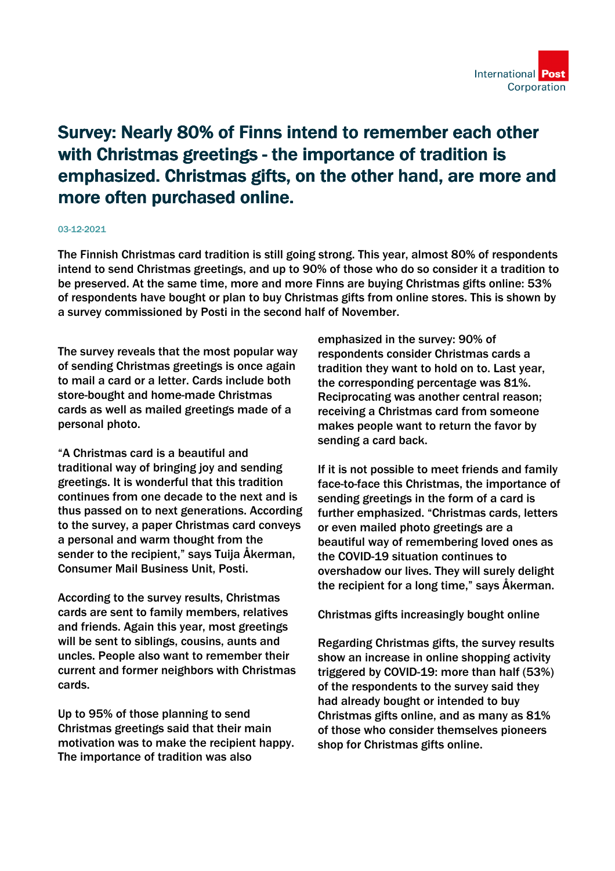

## Survey: Nearly 80% of Finns intend to remember each other with Christmas greetings - the importance of tradition is emphasized. Christmas gifts, on the other hand, are more and more often purchased online.

## 03-12-2021

The Finnish Christmas card tradition is still going strong. This year, almost 80% of respondents intend to send Christmas greetings, and up to 90% of those who do so consider it a tradition to be preserved. At the same time, more and more Finns are buying Christmas gifts online: 53% of respondents have bought or plan to buy Christmas gifts from online stores. This is shown by a survey commissioned by Posti in the second half of November.

The survey reveals that the most popular way of sending Christmas greetings is once again to mail a card or a letter. Cards include both store-bought and home-made Christmas cards as well as mailed greetings made of a personal photo.

"A Christmas card is a beautiful and traditional way of bringing joy and sending greetings. It is wonderful that this tradition continues from one decade to the next and is thus passed on to next generations. According to the survey, a paper Christmas card conveys a personal and warm thought from the sender to the recipient," says Tuija Åkerman, Consumer Mail Business Unit, Posti.

According to the survey results, Christmas cards are sent to family members, relatives and friends. Again this year, most greetings will be sent to siblings, cousins, aunts and uncles. People also want to remember their current and former neighbors with Christmas cards.

Up to 95% of those planning to send Christmas greetings said that their main motivation was to make the recipient happy. The importance of tradition was also

emphasized in the survey: 90% of respondents consider Christmas cards a tradition they want to hold on to. Last year, the corresponding percentage was 81%. Reciprocating was another central reason; receiving a Christmas card from someone makes people want to return the favor by sending a card back.

If it is not possible to meet friends and family face-to-face this Christmas, the importance of sending greetings in the form of a card is further emphasized. "Christmas cards, letters or even mailed photo greetings are a beautiful way of remembering loved ones as the COVID-19 situation continues to overshadow our lives. They will surely delight the recipient for a long time," says Åkerman.

Christmas gifts increasingly bought online

Regarding Christmas gifts, the survey results show an increase in online shopping activity triggered by COVID-19: more than half (53%) of the respondents to the survey said they had already bought or intended to buy Christmas gifts online, and as many as 81% of those who consider themselves pioneers shop for Christmas gifts online.